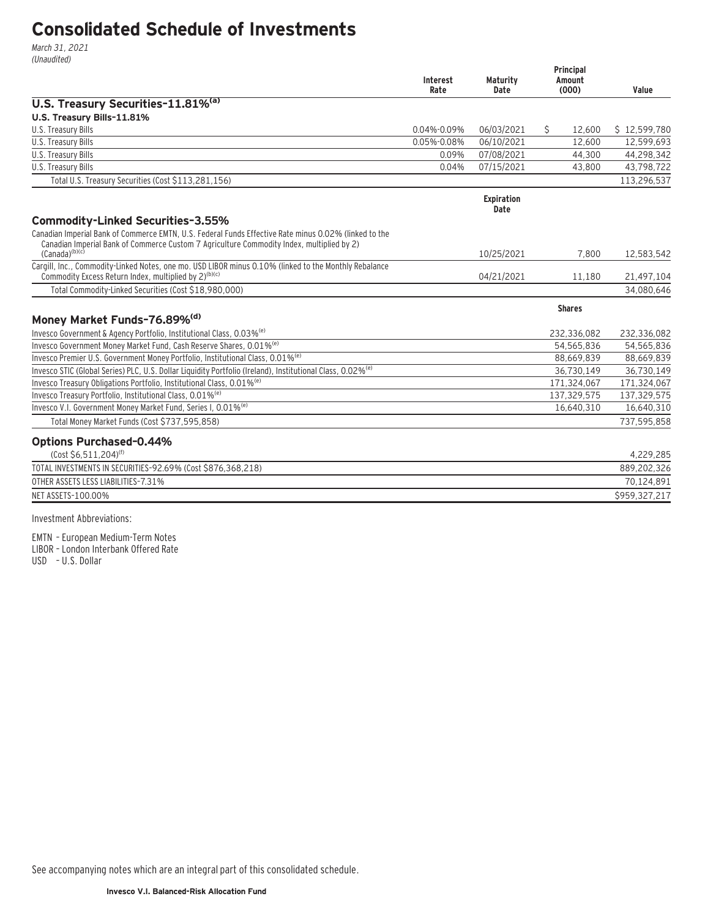# **Consolidated Schedule of Investments**

March 31, 2021 (Unaudited)

|                                                                                                                                                                                                                           | <b>Interest</b><br>Rate | <b>Maturity</b><br>Date   | Principal<br>Amount<br>(000) | Value         |
|---------------------------------------------------------------------------------------------------------------------------------------------------------------------------------------------------------------------------|-------------------------|---------------------------|------------------------------|---------------|
| U.S. Treasury Securities-11.81% <sup>(a)</sup>                                                                                                                                                                            |                         |                           |                              |               |
| U.S. Treasury Bills-11.81%                                                                                                                                                                                                |                         |                           |                              |               |
| U.S. Treasury Bills                                                                                                                                                                                                       | $0.04\% - 0.09\%$       | 06/03/2021                | Ŝ.<br>12.600                 | \$12,599,780  |
| U.S. Treasury Bills                                                                                                                                                                                                       | 0.05%-0.08%             | 06/10/2021                | 12,600                       | 12,599,693    |
| U.S. Treasury Bills                                                                                                                                                                                                       | 0.09%                   | 07/08/2021                | 44,300                       | 44,298,342    |
| U.S. Treasury Bills                                                                                                                                                                                                       | 0.04%                   | 07/15/2021                | 43,800                       | 43,798,722    |
| Total U.S. Treasury Securities (Cost \$113,281,156)                                                                                                                                                                       |                         |                           |                              | 113,296,537   |
|                                                                                                                                                                                                                           |                         | <b>Expiration</b><br>Date |                              |               |
| Commodity-Linked Securities-3.55%                                                                                                                                                                                         |                         |                           |                              |               |
| Canadian Imperial Bank of Commerce EMTN, U.S. Federal Funds Effective Rate minus 0.02% (linked to the<br>Canadian Imperial Bank of Commerce Custom 7 Agriculture Commodity Index, multiplied by 2)<br>$(Canada)^{(b)(c)}$ |                         | 10/25/2021                | 7,800                        | 12,583,542    |
| Cargill, Inc., Commodity-Linked Notes, one mo. USD LIBOR minus 0.10% (linked to the Monthly Rebalance                                                                                                                     |                         |                           |                              |               |
| Commodity Excess Return Index, multiplied by 2) <sup>(b)(c)</sup>                                                                                                                                                         |                         | 04/21/2021                | 11,180                       | 21,497,104    |
| Total Commodity-Linked Securities (Cost \$18,980,000)                                                                                                                                                                     |                         |                           |                              | 34.080.646    |
|                                                                                                                                                                                                                           |                         |                           | <b>Shares</b>                |               |
| Money Market Funds-76.89% <sup>(d)</sup>                                                                                                                                                                                  |                         |                           |                              |               |
| Invesco Government & Agency Portfolio, Institutional Class, 0.03% <sup>(e)</sup>                                                                                                                                          |                         |                           | 232,336,082                  | 232,336,082   |
| Invesco Government Money Market Fund, Cash Reserve Shares, 0.01% <sup>(e)</sup>                                                                                                                                           |                         |                           | 54,565,836                   | 54,565,836    |
| Invesco Premier U.S. Government Money Portfolio, Institutional Class, 0.01% <sup>(e)</sup>                                                                                                                                |                         |                           | 88,669,839                   | 88,669,839    |
| Invesco STIC (Global Series) PLC, U.S. Dollar Liquidity Portfolio (Ireland), Institutional Class, 0.02% <sup>(e)</sup>                                                                                                    |                         |                           | 36,730,149                   | 36,730,149    |
| Invesco Treasury Obligations Portfolio, Institutional Class, 0.01% <sup>(e)</sup>                                                                                                                                         |                         |                           | 171,324,067                  | 171,324,067   |
| Invesco Treasury Portfolio, Institutional Class, 0.01% <sup>(e)</sup>                                                                                                                                                     |                         |                           | 137,329,575                  | 137,329,575   |
| Invesco V.I. Government Money Market Fund, Series I, 0.01% <sup>(e)</sup>                                                                                                                                                 |                         |                           | 16,640,310                   | 16,640,310    |
| Total Money Market Funds (Cost \$737,595,858)                                                                                                                                                                             |                         |                           |                              | 737.595.858   |
| <b>Options Purchased-0.44%</b>                                                                                                                                                                                            |                         |                           |                              |               |
| (Cost \$6,511,204) <sup>(f)</sup>                                                                                                                                                                                         |                         |                           |                              | 4,229,285     |
| TOTAL INVESTMENTS IN SECURITIES-92.69% (Cost \$876,368,218)                                                                                                                                                               |                         |                           |                              | 889,202,326   |
| OTHER ASSETS LESS LIABILITIES-7.31%                                                                                                                                                                                       |                         |                           |                              | 70,124,891    |
| NET ASSETS-100.00%                                                                                                                                                                                                        |                         |                           |                              | \$959.327.217 |
| $\blacksquare$                                                                                                                                                                                                            |                         |                           |                              |               |

Investment Abbreviations:

EMTN – European Medium-Term Notes

LIBOR – London Interbank Offered Rate

USD – U.S. Dollar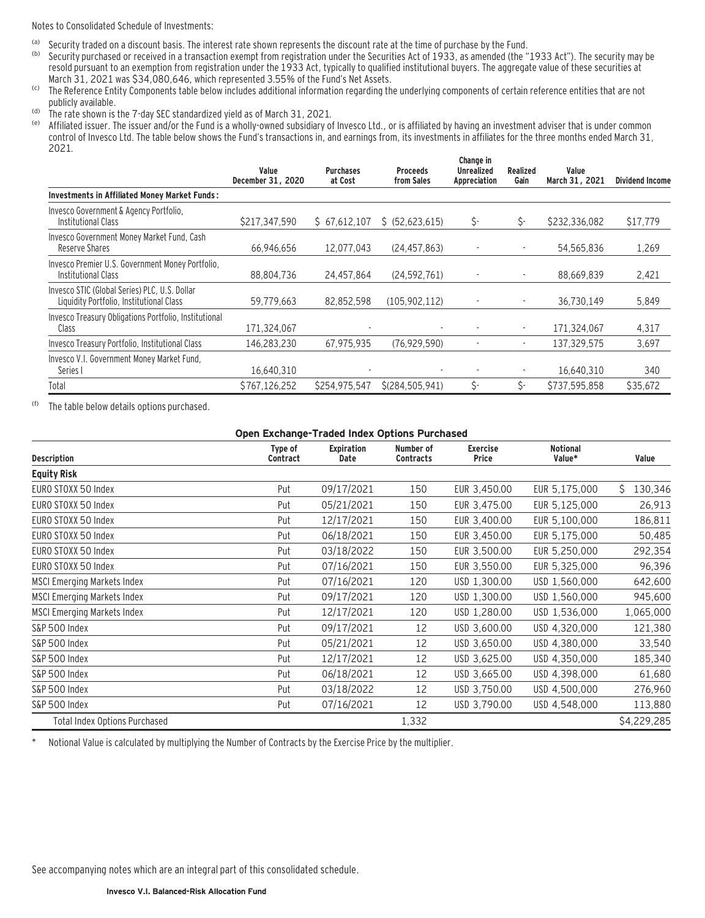Notes to Consolidated Schedule of Investments:

- (a) Security traded on a discount basis. The interest rate shown represents the discount rate at the time of purchase by the Fund.<br>(b) Security purchased or received in a transaction exempt from registration under the Sec
- Security purchased or received in a transaction exempt from registration under the Securities Act of 1933, as amended (the "1933 Act"). The security may be resold pursuant to an exemption from registration under the 1933 Act, typically to qualified institutional buyers. The aggregate value of these securities at March 31, 2021 was \$34,080,646, which represented 3.55% of the Fund's Net Assets.
- (c) The Reference Entity Components table below includes additional information regarding the underlying components of certain reference entities that are not publicly available.
- (d) The rate shown is the 7-day SEC standardized yield as of March 31, 2021.
- Affiliated issuer. The issuer and/or the Fund is a wholly-owned subsidiary of Invesco Ltd., or is affiliated by having an investment adviser that is under common control of Invesco Ltd. The table below shows the Fund's transactions in, and earnings from, its investments in affiliates for the three months ended March 31, 2021.

|                                                                                           | Value<br>December 31, 2020 | <b>Purchases</b><br>at Cost | <b>Proceeds</b><br>from Sales | Change in<br><b>Unrealized</b><br>Appreciation | Realized<br>Gain | Value<br>March 31, 2021 | <b>Dividend Income</b> |
|-------------------------------------------------------------------------------------------|----------------------------|-----------------------------|-------------------------------|------------------------------------------------|------------------|-------------------------|------------------------|
| <b>Investments in Affiliated Money Market Funds:</b>                                      |                            |                             |                               |                                                |                  |                         |                        |
| Invesco Government & Agency Portfolio,<br><b>Institutional Class</b>                      | \$217,347,590              | \$67.612.107                | \$ (52,623,615)               | \$-                                            | \$-              | \$232,336,082           | \$17,779               |
| Invesco Government Money Market Fund, Cash<br>Reserve Shares                              | 66,946,656                 | 12.077.043                  | (24.457.863)                  |                                                |                  | 54,565,836              | 1,269                  |
| Invesco Premier U.S. Government Money Portfolio,<br>Institutional Class                   | 88,804,736                 | 24,457,864                  | (24, 592, 761)                |                                                |                  | 88,669,839              | 2,421                  |
| Invesco STIC (Global Series) PLC, U.S. Dollar<br>Liquidity Portfolio, Institutional Class | 59,779,663                 | 82.852.598                  | (105, 902, 112)               |                                                |                  | 36.730.149              | 5,849                  |
| Invesco Treasury Obligations Portfolio, Institutional<br>Class                            | 171,324,067                |                             |                               |                                                |                  | 171.324.067             | 4,317                  |
| Invesco Treasury Portfolio, Institutional Class                                           | 146.283.230                | 67.975.935                  | (76.929.590)                  |                                                |                  | 137.329.575             | 3,697                  |
| Invesco V.I. Government Money Market Fund,<br>Series I                                    | 16,640,310                 |                             |                               |                                                |                  | 16,640,310              | 340                    |
| Total                                                                                     | \$767,126,252              | \$254,975,547               | \$(284, 505, 941)             | \$-                                            | \$-              | \$737,595,858           | \$35,672               |

(f) The table below details options purchased.

#### **Open Exchange-Traded Index Options Purchased**

| <b>Description</b>                   | Type of<br><b>Contract</b> | <b>Expiration</b><br>Date | Number of<br><b>Contracts</b> | <b>Exercise</b><br>Price | <b>Notional</b><br>Value* | Value         |
|--------------------------------------|----------------------------|---------------------------|-------------------------------|--------------------------|---------------------------|---------------|
| <b>Equity Risk</b>                   |                            |                           |                               |                          |                           |               |
| EURO STOXX 50 Index                  | Put                        | 09/17/2021                | 150                           | EUR 3,450.00             | EUR 5,175,000             | Ŝ.<br>130,346 |
| EURO STOXX 50 Index                  | Put                        | 05/21/2021                | 150                           | EUR 3,475.00             | EUR 5,125,000             | 26,913        |
| EURO STOXX 50 Index                  | Put                        | 12/17/2021                | 150                           | EUR 3,400.00             | EUR 5,100,000             | 186,811       |
| EURO STOXX 50 Index                  | Put                        | 06/18/2021                | 150                           | EUR 3,450.00             | EUR 5,175,000             | 50,485        |
| EURO STOXX 50 Index                  | Put                        | 03/18/2022                | 150                           | EUR 3,500.00             | EUR 5,250,000             | 292,354       |
| EURO STOXX 50 Index                  | Put                        | 07/16/2021                | 150                           | EUR 3,550.00             | EUR 5,325,000             | 96,396        |
| MSCI Emerging Markets Index          | Put                        | 07/16/2021                | 120                           | USD 1,300.00             | USD 1,560,000             | 642,600       |
| MSCI Emerging Markets Index          | Put                        | 09/17/2021                | 120                           | USD 1,300.00             | USD 1,560,000             | 945,600       |
| <b>MSCI Emerging Markets Index</b>   | Put                        | 12/17/2021                | 120                           | USD 1,280.00             | USD 1,536,000             | 1,065,000     |
| S&P 500 Index                        | Put                        | 09/17/2021                | 12                            | USD 3,600.00             | USD 4,320,000             | 121,380       |
| S&P 500 Index                        | Put                        | 05/21/2021                | 12                            | USD 3,650.00             | USD 4,380,000             | 33,540        |
| S&P 500 Index                        | Put                        | 12/17/2021                | 12                            | USD 3,625.00             | USD 4,350,000             | 185,340       |
| S&P 500 Index                        | Put                        | 06/18/2021                | 12                            | USD 3,665.00             | USD 4,398,000             | 61,680        |
| S&P 500 Index                        | Put                        | 03/18/2022                | 12                            | USD 3,750.00             | USD 4,500,000             | 276,960       |
| S&P 500 Index                        | Put                        | 07/16/2021                | 12                            | USD 3,790.00             | USD 4,548,000             | 113,880       |
| <b>Total Index Options Purchased</b> |                            |                           | 1,332                         |                          |                           | \$4,229,285   |

Notional Value is calculated by multiplying the Number of Contracts by the Exercise Price by the multiplier.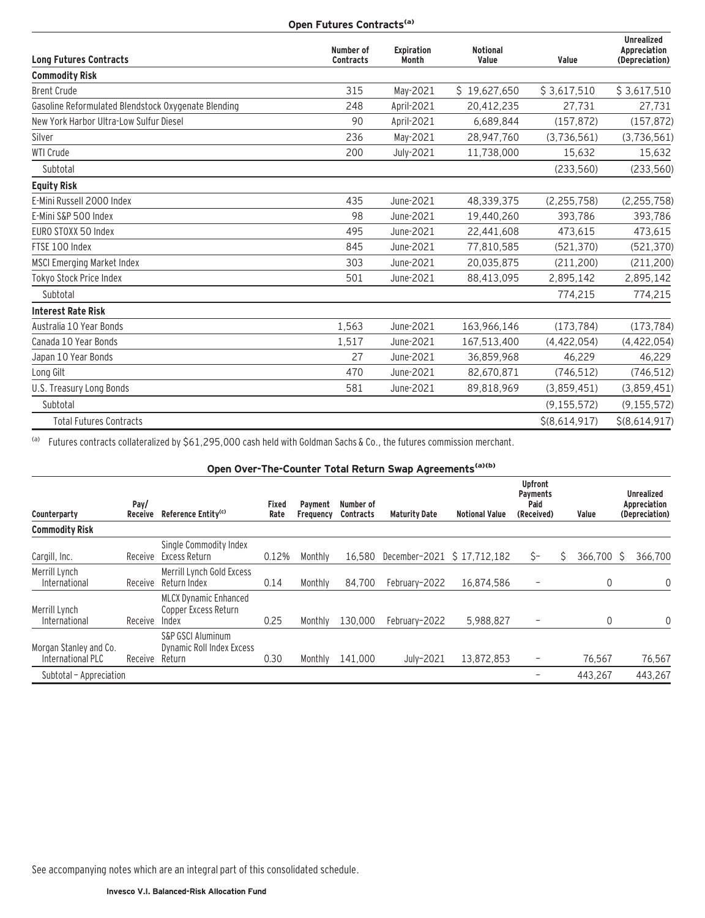**Open Futures Contracts<sup>(a)</sup>** 

| <b>Long Futures Contracts</b>                       | Number of<br><b>Contracts</b> | <b>Expiration</b><br>Month | <b>Notional</b><br>Value | Value         | <b>Unrealized</b><br>Appreciation<br>(Depreciation) |
|-----------------------------------------------------|-------------------------------|----------------------------|--------------------------|---------------|-----------------------------------------------------|
| <b>Commodity Risk</b>                               |                               |                            |                          |               |                                                     |
| <b>Brent Crude</b>                                  | 315                           | May-2021                   | \$19,627,650             | \$3,617,510   | \$3,617,510                                         |
| Gasoline Reformulated Blendstock Oxygenate Blending | 248                           | April-2021                 | 20,412,235               | 27,731        | 27,731                                              |
| New York Harbor Ultra-Low Sulfur Diesel             | 90                            | April-2021                 | 6,689,844                | (157, 872)    | (157, 872)                                          |
| Silver                                              | 236                           | May-2021                   | 28,947,760               | (3,736,561)   | (3,736,561)                                         |
| <b>WTI Crude</b>                                    | 200                           | July-2021                  | 11,738,000               | 15,632        | 15,632                                              |
| Subtotal                                            |                               |                            |                          | (233,560)     | (233, 560)                                          |
| <b>Equity Risk</b>                                  |                               |                            |                          |               |                                                     |
| E-Mini Russell 2000 Index                           | 435                           | June-2021                  | 48,339,375               | (2, 255, 758) | (2, 255, 758)                                       |
| E-Mini S&P 500 Index                                | 98                            | June-2021                  | 19,440,260               | 393,786       | 393,786                                             |
| EURO STOXX 50 Index                                 | 495                           | June-2021                  | 22,441,608               | 473.615       | 473,615                                             |
| FTSE 100 Index                                      | 845                           | June-2021                  | 77,810,585               | (521, 370)    | (521, 370)                                          |
| <b>MSCI Emerging Market Index</b>                   | 303                           | June-2021                  | 20,035,875               | (211, 200)    | (211, 200)                                          |
| Tokyo Stock Price Index                             | 501                           | June-2021                  | 88,413,095               | 2,895,142     | 2,895,142                                           |
| Subtotal                                            |                               |                            |                          | 774,215       | 774,215                                             |
| <b>Interest Rate Risk</b>                           |                               |                            |                          |               |                                                     |
| Australia 10 Year Bonds                             | 1,563                         | June-2021                  | 163,966,146              | (173, 784)    | (173, 784)                                          |
| Canada 10 Year Bonds                                | 1,517                         | June-2021                  | 167,513,400              | (4, 422, 054) | (4, 422, 054)                                       |
| Japan 10 Year Bonds                                 | 27                            | June-2021                  | 36,859,968               | 46,229        | 46,229                                              |
| Long Gilt                                           | 470                           | June-2021                  | 82,670,871               | (746, 512)    | (746, 512)                                          |
| U.S. Treasury Long Bonds                            | 581                           | June-2021                  | 89,818,969               | (3,859,451)   | (3,859,451)                                         |
| Subtotal                                            |                               |                            |                          | (9, 155, 572) | (9, 155, 572)                                       |
| <b>Total Futures Contracts</b>                      |                               |                            |                          | \$(8,614,917) | \$(8,614,917)                                       |

(a) Futures contracts collateralized by \$61,295,000 cash held with Goldman Sachs & Co., the futures commission merchant.

**Open Over-The-Counter Total Return Swap Agreements(a)(b)**

| Counterparty                                | Pay/<br><b>Receive</b> | Reference Entity <sup>(c)</sup>                                            | Fixed<br>Rate | Payment<br>Frequency | Number of<br><b>Contracts</b> | <b>Maturity Date</b>       | <b>Notional Value</b> | <b>Upfront</b><br><b>Payments</b><br>Paid<br>(Received) | Value     | <b>Unrealized</b><br>Appreciation<br>(Depreciation) |
|---------------------------------------------|------------------------|----------------------------------------------------------------------------|---------------|----------------------|-------------------------------|----------------------------|-----------------------|---------------------------------------------------------|-----------|-----------------------------------------------------|
| <b>Commodity Risk</b>                       |                        |                                                                            |               |                      |                               |                            |                       |                                                         |           |                                                     |
| Cargill, Inc.                               | Receive                | Single Commodity Index<br>Excess Return                                    | 0.12%         | Monthly              | 16.580                        | December-2021 \$17.712.182 |                       | Ŝ-                                                      | 366.700 S | 366.700                                             |
| Merrill Lynch<br>International              | Receive                | Merrill Lynch Gold Excess<br>Return Index                                  | 0.14          | Monthly              | 84.700                        | February-2022              | 16.874.586            |                                                         | 0         | $\mathbf{0}$                                        |
| Merrill Lynch<br>International              | Receive                | <b>MLCX Dynamic Enhanced</b><br>Copper Excess Return<br>Index              | 0.25          | Monthly              | 130.000                       | February-2022              | 5,988,827             |                                                         | 0         | $\Omega$                                            |
| Morgan Stanley and Co.<br>International PLC | Receive                | <b>S&amp;P GSCI Aluminum</b><br><b>Dynamic Roll Index Excess</b><br>Return | 0.30          | Monthly              | 141,000                       | July-2021                  | 13,872,853            |                                                         | 76,567    | 76,567                                              |
| Subtotal - Appreciation                     |                        |                                                                            |               |                      |                               |                            |                       |                                                         | 443.267   | 443.267                                             |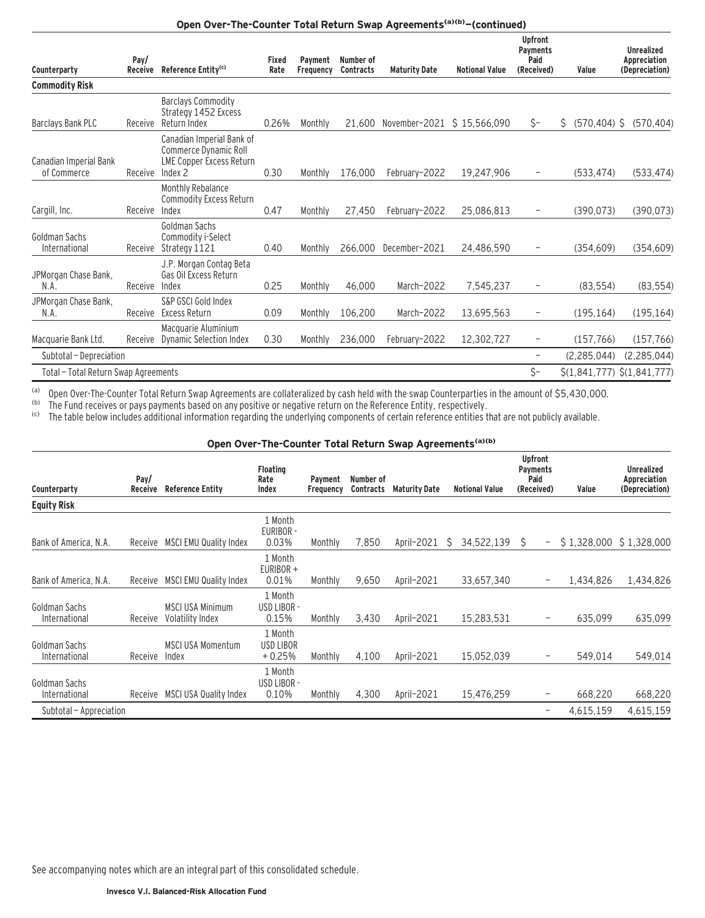## Open Over-The-Counter Total Return Swap Agreements<sup>(a)(b)</sup>-(continued)

| Counterparty                          | Pay/<br><b>Receive</b> | Reference Entity <sup>(c)</sup>                                                                  | Fixed<br>Rate | Payment<br>Frequency | Number of<br><b>Contracts</b> | <b>Maturity Date</b> | <b>Notional Value</b> | <b>Upfront</b><br>Payments<br>Paid<br>(Received) | Value                 | <b>Unrealized</b><br>Appreciation<br>(Depreciation) |
|---------------------------------------|------------------------|--------------------------------------------------------------------------------------------------|---------------|----------------------|-------------------------------|----------------------|-----------------------|--------------------------------------------------|-----------------------|-----------------------------------------------------|
| <b>Commodity Risk</b>                 |                        |                                                                                                  |               |                      |                               |                      |                       |                                                  |                       |                                                     |
| Barclays Bank PLC                     | Receive                | <b>Barclays Commodity</b><br>Strategy 1452 Excess<br>Return Index                                | 0.26%         | Monthly              | 21.600                        | November-2021        | \$15,566,090          | \$-                                              | $(570, 404)$ \$<br>\$ | (570, 404)                                          |
| Canadian Imperial Bank<br>of Commerce | Receive                | Canadian Imperial Bank of<br>Commerce Dynamic Roll<br><b>LME Copper Excess Return</b><br>Index 2 | 0.30          | Monthly              | 176.000                       | February-2022        | 19,247,906            |                                                  | (533, 474)            | (533, 474)                                          |
| Cargill, Inc.                         | Receive                | Monthly Rebalance<br>Commodity Excess Return<br>Index                                            | 0.47          | Monthly              | 27.450                        | February-2022        | 25.086.813            |                                                  | (390, 073)            | (390, 073)                                          |
| Goldman Sachs<br>International        | Receive                | Goldman Sachs<br>Commodity i-Select<br>Strategy 1121                                             | 0.40          | Monthly              | 266.000                       | December-2021        | 24,486,590            |                                                  | (354, 609)            | (354, 609)                                          |
| JPMorgan Chase Bank,<br>N.A.          | Receive                | J.P. Morgan Contag Beta<br>Gas Oil Excess Return<br>Index                                        | 0.25          | Monthly              | 46.000                        | March-2022           | 7,545,237             |                                                  | (83, 554)             | (83, 554)                                           |
| JPMorgan Chase Bank,<br>N.A.          | Receive                | S&P GSCI Gold Index<br>Excess Return                                                             | 0.09          | Monthly              | 106,200                       | March-2022           | 13,695,563            |                                                  | (195, 164)            | (195, 164)                                          |
| Macquarie Bank Ltd.                   | Receive                | Macquarie Aluminium<br><b>Dynamic Selection Index</b>                                            | 0.30          | Monthly              | 236,000                       | February-2022        | 12,302,727            |                                                  | (157, 766)            | (157, 766)                                          |
| Subtotal - Depreciation               |                        |                                                                                                  |               |                      |                               |                      |                       |                                                  | (2, 285, 044)         | (2, 285, 044)                                       |
| Total - Total Return Swap Agreements  |                        |                                                                                                  |               |                      |                               |                      |                       | \$-                                              |                       | \$(1,841,777) \$(1,841,777)                         |

(a) Open Over-The-Counter Total Return Swap Agreements are collateralized by cash held with the swap Counterparties in the amount of \$5,430,000.<br>(b) The Fund receives or pays payments based on any positive or negative ret

<sup>(b)</sup> The Fund receives or pays payments based on any positive or negative return on the Reference Entity, respectively.

<sup>(c)</sup> The table below includes additional information regarding the underlying components of certain reference entities that are not publicly available.

# Open Over-The-Counter Total Return Swap Agreements<sup>(a)(b)</sup>

| Counterparty                   | Pay/<br>Receive | <b>Reference Entity</b>                     | <b>Floating</b><br>Rate<br>Index        | Payment<br>Frequency | Number of<br><b>Contracts</b> | <b>Maturity Date</b> | <b>Notional Value</b> | <b>Upfront</b><br><b>Payments</b><br>Paid<br>(Received) | Value     | <b>Unrealized</b><br>Appreciation<br>(Depreciation) |
|--------------------------------|-----------------|---------------------------------------------|-----------------------------------------|----------------------|-------------------------------|----------------------|-----------------------|---------------------------------------------------------|-----------|-----------------------------------------------------|
| <b>Equity Risk</b>             |                 |                                             |                                         |                      |                               |                      |                       |                                                         |           |                                                     |
| Bank of America, N.A.          |                 | Receive MSCI EMU Quality Index              | 1 Month<br>EURIBOR -<br>0.03%           | Monthly              | 7.850                         | April-2021           | S<br>34,522,139       | S.<br>$\overline{\phantom{a}}$                          |           | $$1.328.000 \$1.328.000$                            |
| Bank of America, N.A.          | Receive         | <b>MSCI EMU Quality Index</b>               | 1 Month<br>$EURIBOR +$<br>0.01%         | Monthly              | 9,650                         | April-2021           | 33,657,340            | $\overline{\phantom{a}}$                                | 1.434.826 | 1,434,826                                           |
| Goldman Sachs<br>International | Receive         | <b>MSCI USA Minimum</b><br>Volatility Index | 1 Month<br>USD LIBOR -<br>0.15%         | Monthly              | 3,430                         | April-2021           | 15.283.531            | $\overline{\phantom{a}}$                                | 635.099   | 635,099                                             |
| Goldman Sachs<br>International | Receive         | <b>MSCI USA Momentum</b><br>Index           | 1 Month<br><b>USD LIBOR</b><br>$+0.25%$ | Monthly              | 4,100                         | April-2021           | 15.052.039            |                                                         | 549.014   | 549,014                                             |
| Goldman Sachs<br>International | Receive         | MSCI USA Quality Index                      | 1 Month<br>USD LIBOR -<br>0.10%         | Monthly              | 4,300                         | April-2021           | 15.476.259            | -                                                       | 668.220   | 668,220                                             |
| Subtotal - Appreciation        |                 |                                             |                                         |                      |                               |                      |                       | -                                                       | 4,615,159 | 4,615,159                                           |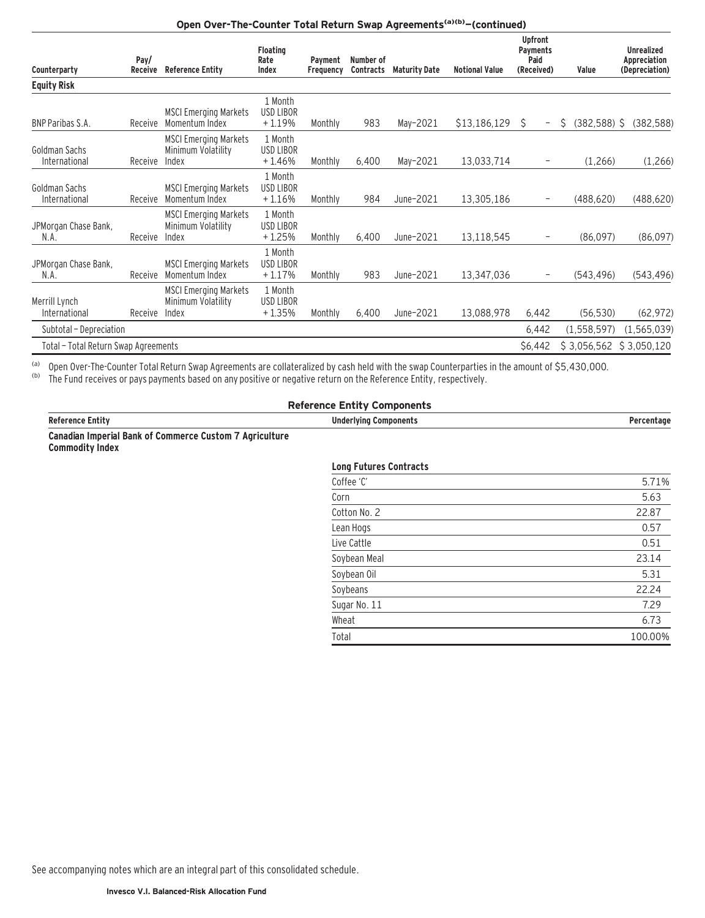## Open Over-The-Counter Total Return Swap Agreements<sup>(a)(b)</sup>-(continued)

| Counterparty                         | Pay/<br>Receive | <b>Reference Entity</b>                                     | <b>Floating</b><br>Rate<br>Index        | <b>Payment</b><br>Frequency | Number of<br>Contracts | <b>Maturity Date</b> | <b>Notional Value</b> | <b>Upfront</b><br>Payments<br>Paid<br>(Received) | Value               | <b>Unrealized</b><br>Appreciation<br>(Depreciation) |
|--------------------------------------|-----------------|-------------------------------------------------------------|-----------------------------------------|-----------------------------|------------------------|----------------------|-----------------------|--------------------------------------------------|---------------------|-----------------------------------------------------|
| <b>Equity Risk</b>                   |                 |                                                             |                                         |                             |                        |                      |                       |                                                  |                     |                                                     |
| <b>BNP Paribas S.A.</b>              | Receive         | <b>MSCI Emerging Markets</b><br>Momentum Index              | 1 Month<br><b>USD LIBOR</b><br>$+1.19%$ | Monthly                     | 983                    | May-2021             | \$13,186,129          | S<br>$\qquad \qquad -$                           | $(382,588)$ \$<br>S | (382, 588)                                          |
| Goldman Sachs<br>International       | Receive         | <b>MSCI Emerging Markets</b><br>Minimum Volatility<br>Index | 1 Month<br>USD LIBOR<br>+1.46%          | Monthly                     | 6,400                  | May-2021             | 13,033,714            |                                                  | (1,266)             | (1,266)                                             |
| Goldman Sachs<br>International       | Receive         | <b>MSCI Emerging Markets</b><br>Momentum Index              | 1 Month<br>USD LIBOR<br>$+1.16%$        | Monthly                     | 984                    | June-2021            | 13,305,186            |                                                  | (488, 620)          | (488, 620)                                          |
| JPMorgan Chase Bank,<br>N.A.         | Receive         | <b>MSCI Emerging Markets</b><br>Minimum Volatility<br>Index | 1 Month<br><b>USD LIBOR</b><br>$+1.25%$ | Monthly                     | 6,400                  | June-2021            | 13,118,545            | -                                                | (86,097)            | (86,097)                                            |
| JPMorgan Chase Bank,<br>N.A.         | Receive         | <b>MSCI Emerging Markets</b><br>Momentum Index              | 1 Month<br>USD LIBOR<br>$+1.17%$        | Monthly                     | 983                    | June-2021            | 13,347,036            | -                                                | (543, 496)          | (543, 496)                                          |
| Merrill Lynch<br>International       | Receive         | <b>MSCI Emerging Markets</b><br>Minimum Volatility<br>Index | 1 Month<br>USD LIBOR<br>$+1.35%$        | Monthly                     | 6,400                  | June-2021            | 13,088,978            | 6,442                                            | (56, 530)           | (62, 972)                                           |
| Subtotal - Depreciation              |                 |                                                             |                                         |                             |                        |                      |                       | 6,442                                            | (1, 558, 597)       | (1, 565, 039)                                       |
| Total - Total Return Swap Agreements |                 |                                                             |                                         |                             |                        |                      |                       | \$6,442                                          | \$3,056,562         | \$3,050,120                                         |

(a) Open Over-The-Counter Total Return Swap Agreements are collateralized by cash held with the swap Counterparties in the amount of \$5,430,000.

<sup>(b)</sup> The Fund receives or pays payments based on any positive or negative return on the Reference Entity, respectively.

# **Reference Entity Components**

| entn                                                                        | Unde<br>"Ivina".<br>component. |  |
|-----------------------------------------------------------------------------|--------------------------------|--|
| Aariculturo<br>™uct∧m<br>הכוחבים<br><b>AMMAR</b><br>. . mnaria 1 kank<br>nт |                                |  |

**Canadian Imperial Bank of Commerce Custom 7 Agriculture Commodity Index**

### **Long Futures Contracts**

| Coffee 'C'   | 5.71%   |
|--------------|---------|
| Corn         | 5.63    |
| Cotton No. 2 | 22.87   |
| Lean Hogs    | 0.57    |
| Live Cattle  | 0.51    |
| Soybean Meal | 23.14   |
| Soybean Oil  | 5.31    |
| Soybeans     | 22.24   |
| Sugar No. 11 | 7.29    |
| Wheat        | 6.73    |
| Total        | 100.00% |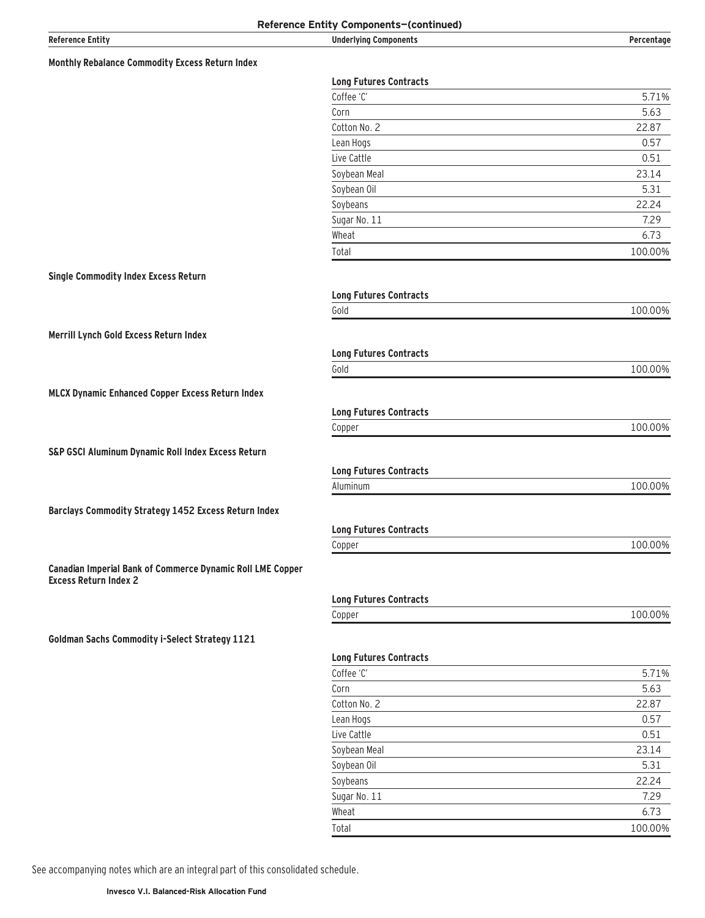| <b>Reference Entity</b>                                    | Reference Entity Components-(continued)<br><b>Underlying Components</b> | Percentage    |
|------------------------------------------------------------|-------------------------------------------------------------------------|---------------|
|                                                            |                                                                         |               |
| Monthly Rebalance Commodity Excess Return Index            |                                                                         |               |
|                                                            | <b>Long Futures Contracts</b>                                           |               |
|                                                            | Coffee 'C'                                                              | 5.71%         |
|                                                            | Corn                                                                    | 5.63          |
|                                                            | Cotton No. 2                                                            | 22.87         |
|                                                            | Lean Hogs                                                               | 0.57          |
|                                                            | Live Cattle                                                             | 0.51          |
|                                                            | Soybean Meal                                                            | 23.14         |
|                                                            | Soybean Oil                                                             | 5.31          |
|                                                            | Soybeans<br>Sugar No. 11                                                | 22.24<br>7.29 |
|                                                            | Wheat                                                                   | 6.73          |
|                                                            | Total                                                                   | 100.00%       |
|                                                            |                                                                         |               |
| <b>Single Commodity Index Excess Return</b>                |                                                                         |               |
|                                                            | <b>Long Futures Contracts</b>                                           |               |
|                                                            | Gold                                                                    | 100.00%       |
|                                                            |                                                                         |               |
| Merrill Lynch Gold Excess Return Index                     |                                                                         |               |
|                                                            | <b>Long Futures Contracts</b>                                           |               |
|                                                            | Gold                                                                    | 100.00%       |
| <b>MLCX Dynamic Enhanced Copper Excess Return Index</b>    |                                                                         |               |
|                                                            | <b>Long Futures Contracts</b>                                           |               |
|                                                            | Copper                                                                  | 100.00%       |
|                                                            |                                                                         |               |
| S&P GSCI Aluminum Dynamic Roll Index Excess Return         |                                                                         |               |
|                                                            | <b>Long Futures Contracts</b>                                           |               |
|                                                            | Aluminum                                                                | 100.00%       |
| Barclays Commodity Strategy 1452 Excess Return Index       |                                                                         |               |
|                                                            |                                                                         |               |
|                                                            | <b>Long Futures Contracts</b>                                           |               |
|                                                            | Copper                                                                  | 100.00%       |
| Canadian Imperial Bank of Commerce Dynamic Roll LME Copper |                                                                         |               |
| <b>Excess Return Index 2</b>                               |                                                                         |               |
|                                                            | <b>Long Futures Contracts</b>                                           |               |
|                                                            | Copper                                                                  | 100.00%       |
| <b>Goldman Sachs Commodity i-Select Strategy 1121</b>      |                                                                         |               |
|                                                            |                                                                         |               |
|                                                            | <b>Long Futures Contracts</b>                                           |               |
|                                                            | Coffee 'C'<br>Corn                                                      | 5.71%<br>5.63 |
|                                                            | Cotton No. 2                                                            | 22.87         |
|                                                            | Lean Hogs                                                               | 0.57          |
|                                                            | Live Cattle                                                             | 0.51          |
|                                                            | Soybean Meal                                                            | 23.14         |
|                                                            | Soybean Oil                                                             | 5.31          |
|                                                            | Soybeans                                                                | 22.24         |
|                                                            | Sugar No. 11                                                            | 7.29          |
|                                                            | Wheat                                                                   | 6.73          |
|                                                            | Total                                                                   | 100.00%       |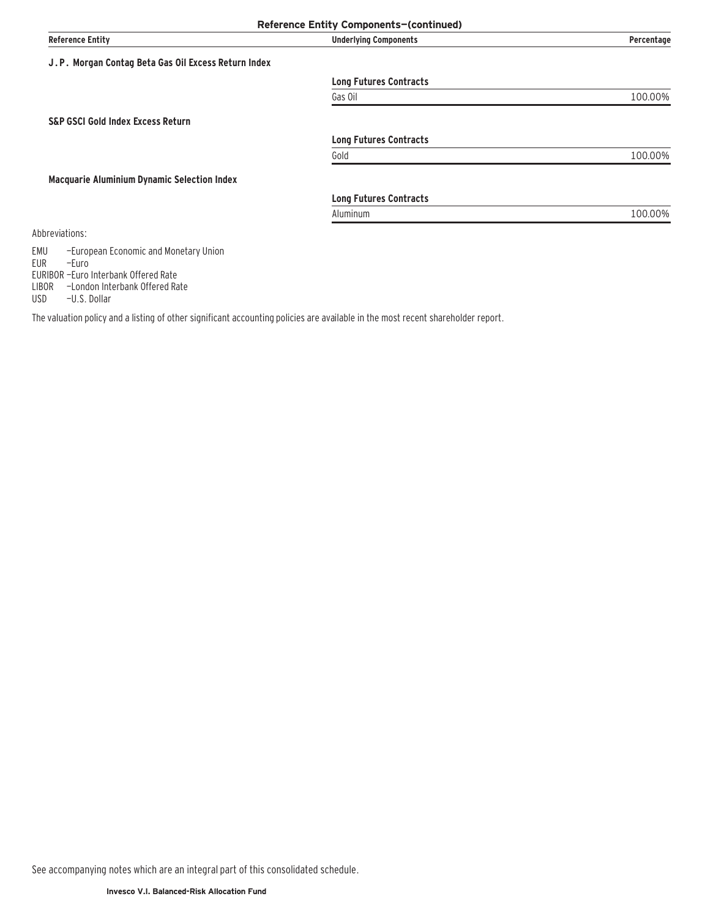|                                                                     | Reference Entity Components-(continued) |            |
|---------------------------------------------------------------------|-----------------------------------------|------------|
| <b>Reference Entity</b>                                             | <b>Underlying Components</b>            | Percentage |
| J.P. Morgan Contag Beta Gas Oil Excess Return Index                 |                                         |            |
|                                                                     | <b>Long Futures Contracts</b>           |            |
|                                                                     | Gas Oil                                 | 100.00%    |
| <b>S&amp;P GSCI Gold Index Excess Return</b>                        |                                         |            |
|                                                                     | <b>Long Futures Contracts</b>           |            |
|                                                                     | Gold                                    | 100.00%    |
| <b>Macquarie Aluminium Dynamic Selection Index</b>                  |                                         |            |
|                                                                     | <b>Long Futures Contracts</b>           |            |
|                                                                     | Aluminum                                | 100.00%    |
| Abbreviations:                                                      |                                         |            |
| EMU<br>-European Economic and Monetary Union<br><b>EUR</b><br>-Euro |                                         |            |

The valuation policy and a listing of other significant accounting policies are available in the most recent shareholder report.

See accompanying notes which are an integral part of this consolidated schedule.

EURIBOR —Euro Interbank Offered Rate LIBOR —London Interbank Offered Rate

USD -U.S. Dollar